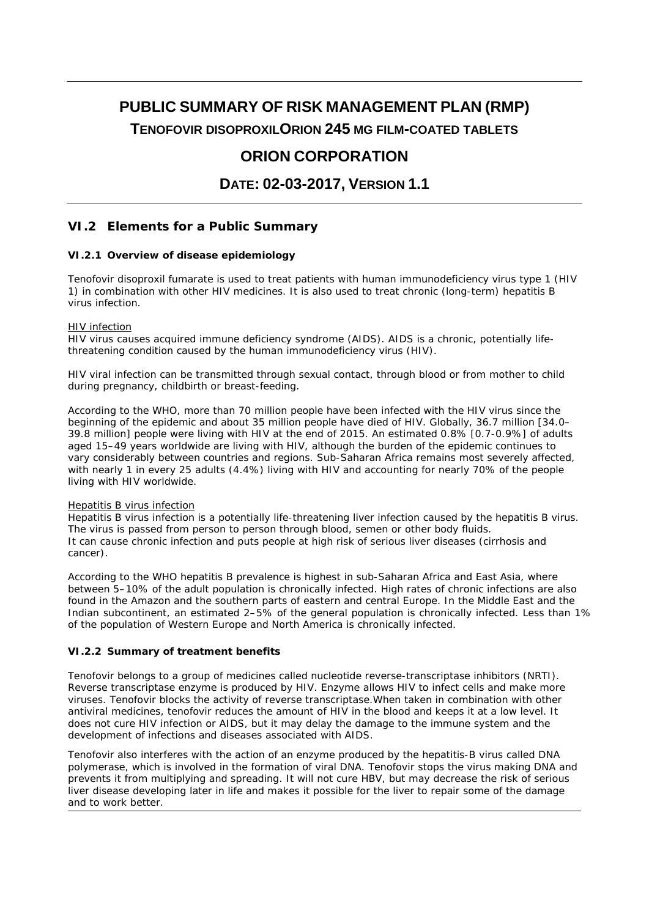# **PUBLIC SUMMARY OF RISK MANAGEMENT PLAN (RMP) TENOFOVIR DISOPROXILORION 245 MG FILM-COATED TABLETS**

## **ORION CORPORATION**

**DATE: 02-03-2017, VERSION 1.1**

## *VI.2 Elements for a Public Summary*

#### *VI.2.1 Overview of disease epidemiology*

Tenofovir disoproxil fumarate is used to treat patients with human immunodeficiency virus type 1 (HIV 1) in combination with other HIV medicines. It is also used to treat chronic (long-term) hepatitis B virus infection.

#### HIV infection

HIV virus causes acquired immune deficiency syndrome (AIDS). AIDS is a chronic, potentially lifethreatening condition caused by the human immunodeficiency virus (HIV).

HIV viral infection can be transmitted through sexual contact, through blood or from mother to child during pregnancy, childbirth or breast-feeding.

According to the WHO, more than 70 million people have been infected with the HIV virus since the beginning of the epidemic and about 35 million people have died of HIV. Globally, 36.7 million [34.0– 39.8 million] people were living with HIV at the end of 2015. An estimated 0.8% [0.7-0.9%] of adults aged 15–49 years worldwide are living with HIV, although the burden of the epidemic continues to vary considerably between countries and regions. Sub-Saharan Africa remains most severely affected, with nearly 1 in every 25 adults (4.4%) living with HIV and accounting for nearly 70% of the people living with HIV worldwide.

#### Hepatitis B virus infection

Hepatitis B virus infection is a potentially life-threatening liver infection caused by the hepatitis B virus. The virus is passed from person to person through blood, semen or other body fluids. It can cause chronic infection and puts people at high risk of serious liver diseases (cirrhosis and cancer).

According to the WHO hepatitis B prevalence is highest in sub-Saharan Africa and East Asia, where between 5–10% of the adult population is chronically infected. High rates of chronic infections are also found in the Amazon and the southern parts of eastern and central Europe. In the Middle East and the Indian subcontinent, an estimated 2–5% of the general population is chronically infected. Less than 1% of the population of Western Europe and North America is chronically infected.

#### *VI.2.2 Summary of treatment benefits*

Tenofovir belongs to a group of medicines called nucleotide reverse-transcriptase inhibitors (NRTI). Reverse transcriptase enzyme is produced by HIV. Enzyme allows HIV to infect cells and make more viruses. Tenofovir blocks the activity of reverse transcriptase.When taken in combination with other antiviral medicines, tenofovir reduces the amount of HIV in the blood and keeps it at a low level. It does not cure HIV infection or AIDS, but it may delay the damage to the immune system and the development of infections and diseases associated with AIDS.

Tenofovir also interferes with the action of an enzyme produced by the hepatitis-B virus called DNA polymerase, which is involved in the formation of viral DNA. Tenofovir stops the virus making DNA and prevents it from multiplying and spreading. It will not cure HBV, but may decrease the risk of serious liver disease developing later in life and makes it possible for the liver to repair some of the damage and to work better.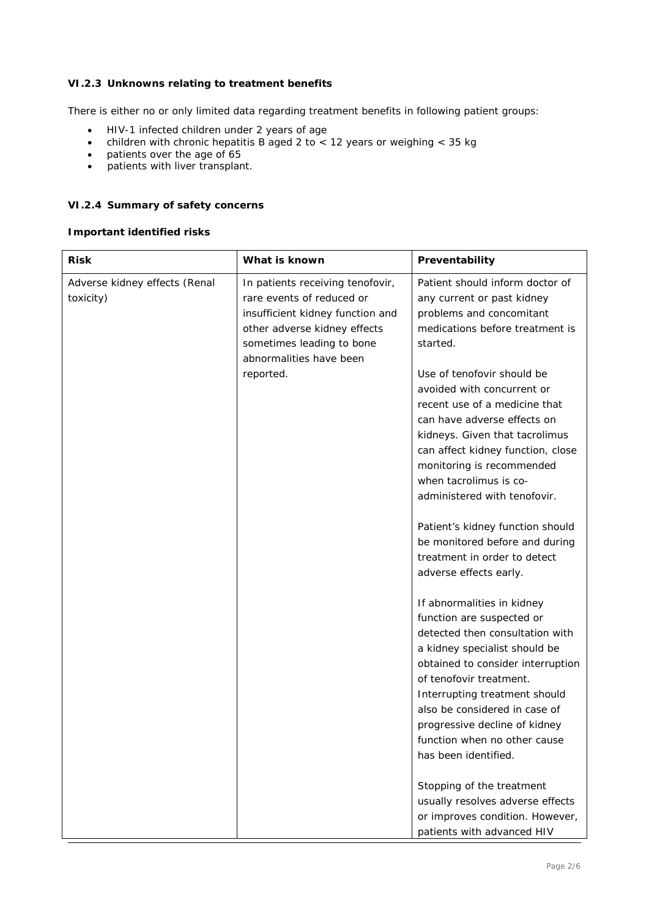#### *VI.2.3 Unknowns relating to treatment benefits*

There is either no or only limited data regarding treatment benefits in following patient groups:

- HIV-1 infected children under 2 years of age
- children with chronic hepatitis B aged 2 to < 12 years or weighing < 35 kg
- patients over the age of 65
- patients with liver transplant.

#### *VI.2.4 Summary of safety concerns*

#### **Important identified risks**

| <b>Risk</b>                                | What is known                                                                                                                                                                                          | Preventability                                                                                                                                                                                                                                                                                                                                                                                                                                                                                                                                                                                                                                                                                                                                                                                                                                                                                                                                                                                |
|--------------------------------------------|--------------------------------------------------------------------------------------------------------------------------------------------------------------------------------------------------------|-----------------------------------------------------------------------------------------------------------------------------------------------------------------------------------------------------------------------------------------------------------------------------------------------------------------------------------------------------------------------------------------------------------------------------------------------------------------------------------------------------------------------------------------------------------------------------------------------------------------------------------------------------------------------------------------------------------------------------------------------------------------------------------------------------------------------------------------------------------------------------------------------------------------------------------------------------------------------------------------------|
| Adverse kidney effects (Renal<br>toxicity) | In patients receiving tenofovir,<br>rare events of reduced or<br>insufficient kidney function and<br>other adverse kidney effects<br>sometimes leading to bone<br>abnormalities have been<br>reported. | Patient should inform doctor of<br>any current or past kidney<br>problems and concomitant<br>medications before treatment is<br>started.<br>Use of tenofovir should be<br>avoided with concurrent or<br>recent use of a medicine that<br>can have adverse effects on<br>kidneys. Given that tacrolimus<br>can affect kidney function, close<br>monitoring is recommended<br>when tacrolimus is co-<br>administered with tenofovir.<br>Patient's kidney function should<br>be monitored before and during<br>treatment in order to detect<br>adverse effects early.<br>If abnormalities in kidney<br>function are suspected or<br>detected then consultation with<br>a kidney specialist should be<br>obtained to consider interruption<br>of tenofovir treatment.<br>Interrupting treatment should<br>also be considered in case of<br>progressive decline of kidney<br>function when no other cause<br>has been identified.<br>Stopping of the treatment<br>usually resolves adverse effects |
|                                            |                                                                                                                                                                                                        | or improves condition. However,<br>patients with advanced HIV                                                                                                                                                                                                                                                                                                                                                                                                                                                                                                                                                                                                                                                                                                                                                                                                                                                                                                                                 |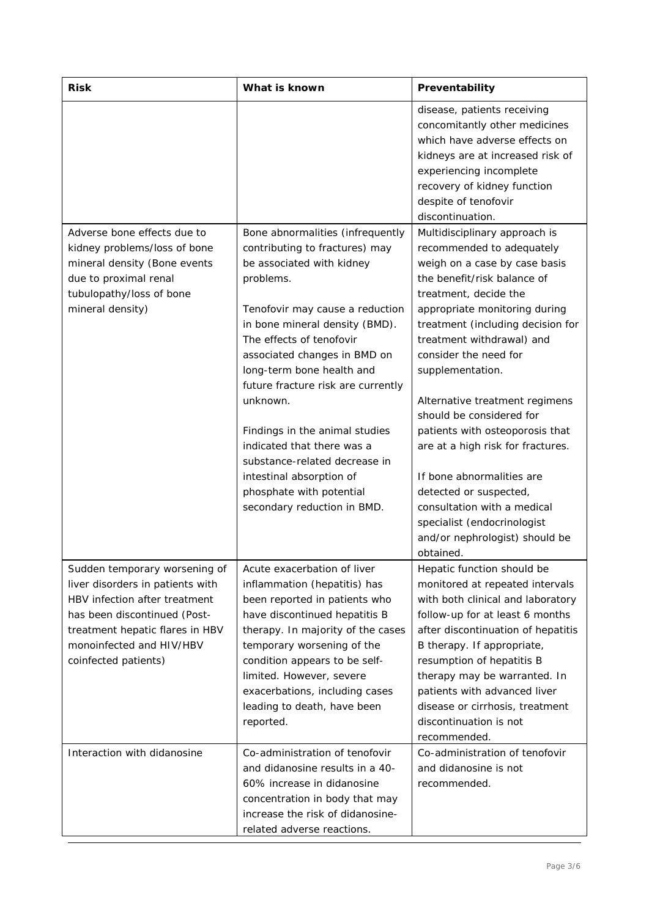| <b>Risk</b>                                                                                                                                                                                                               | What is known                                                                                                                                                                                                                                                                                                                                                  | Preventability                                                                                                                                                                                                                                                                                                                                                                                       |
|---------------------------------------------------------------------------------------------------------------------------------------------------------------------------------------------------------------------------|----------------------------------------------------------------------------------------------------------------------------------------------------------------------------------------------------------------------------------------------------------------------------------------------------------------------------------------------------------------|------------------------------------------------------------------------------------------------------------------------------------------------------------------------------------------------------------------------------------------------------------------------------------------------------------------------------------------------------------------------------------------------------|
|                                                                                                                                                                                                                           |                                                                                                                                                                                                                                                                                                                                                                | disease, patients receiving<br>concomitantly other medicines<br>which have adverse effects on<br>kidneys are at increased risk of<br>experiencing incomplete<br>recovery of kidney function<br>despite of tenofovir<br>discontinuation.                                                                                                                                                              |
| Adverse bone effects due to<br>kidney problems/loss of bone<br>mineral density (Bone events<br>due to proximal renal<br>tubulopathy/loss of bone<br>mineral density)                                                      | Bone abnormalities (infrequently<br>contributing to fractures) may<br>be associated with kidney<br>problems.<br>Tenofovir may cause a reduction<br>in bone mineral density (BMD).<br>The effects of tenofovir<br>associated changes in BMD on<br>long-term bone health and<br>future fracture risk are currently<br>unknown.<br>Findings in the animal studies | Multidisciplinary approach is<br>recommended to adequately<br>weigh on a case by case basis<br>the benefit/risk balance of<br>treatment, decide the<br>appropriate monitoring during<br>treatment (including decision for<br>treatment withdrawal) and<br>consider the need for<br>supplementation.<br>Alternative treatment regimens<br>should be considered for<br>patients with osteoporosis that |
|                                                                                                                                                                                                                           | indicated that there was a<br>substance-related decrease in<br>intestinal absorption of<br>phosphate with potential<br>secondary reduction in BMD.                                                                                                                                                                                                             | are at a high risk for fractures.<br>If bone abnormalities are<br>detected or suspected,<br>consultation with a medical<br>specialist (endocrinologist<br>and/or nephrologist) should be<br>obtained.                                                                                                                                                                                                |
| Sudden temporary worsening of<br>liver disorders in patients with<br>HBV infection after treatment<br>has been discontinued (Post-<br>treatment hepatic flares in HBV<br>monoinfected and HIV/HBV<br>coinfected patients) | Acute exacerbation of liver<br>inflammation (hepatitis) has<br>been reported in patients who<br>have discontinued hepatitis B<br>therapy. In majority of the cases<br>temporary worsening of the<br>condition appears to be self-<br>limited. However, severe<br>exacerbations, including cases<br>leading to death, have been<br>reported.                    | Hepatic function should be<br>monitored at repeated intervals<br>with both clinical and laboratory<br>follow-up for at least 6 months<br>after discontinuation of hepatitis<br>B therapy. If appropriate,<br>resumption of hepatitis B<br>therapy may be warranted. In<br>patients with advanced liver<br>disease or cirrhosis, treatment<br>discontinuation is not<br>recommended.                  |
| Interaction with didanosine                                                                                                                                                                                               | Co-administration of tenofovir<br>and didanosine results in a 40-<br>60% increase in didanosine<br>concentration in body that may<br>increase the risk of didanosine-<br>related adverse reactions.                                                                                                                                                            | Co-administration of tenofovir<br>and didanosine is not<br>recommended.                                                                                                                                                                                                                                                                                                                              |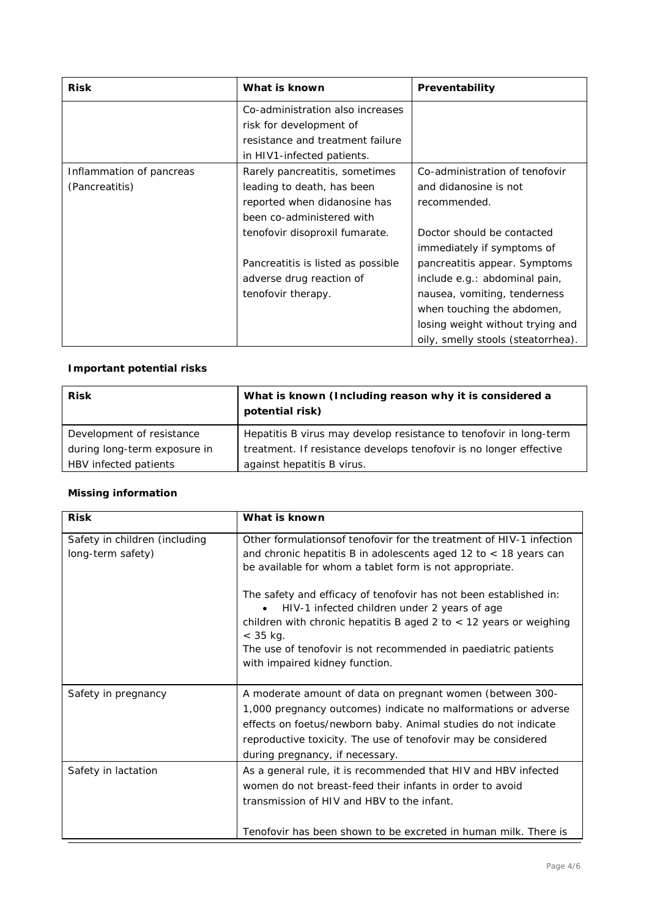| <b>Risk</b>              | What is known                      | Preventability                     |
|--------------------------|------------------------------------|------------------------------------|
|                          | Co-administration also increases   |                                    |
|                          | risk for development of            |                                    |
|                          | resistance and treatment failure   |                                    |
|                          | in HIV1-infected patients.         |                                    |
| Inflammation of pancreas | Rarely pancreatitis, sometimes     | Co-administration of tenofovir     |
| (Pancreatitis)           | leading to death, has been         | and didanosine is not              |
|                          | reported when didanosine has       | recommended.                       |
|                          | been co-administered with          |                                    |
|                          | tenofovir disoproxil fumarate.     | Doctor should be contacted         |
|                          |                                    | immediately if symptoms of         |
|                          | Pancreatitis is listed as possible | pancreatitis appear. Symptoms      |
|                          | adverse drug reaction of           | include e.g.: abdominal pain,      |
|                          | tenofovir therapy.                 | nausea, vomiting, tenderness       |
|                          |                                    | when touching the abdomen,         |
|                          |                                    | losing weight without trying and   |
|                          |                                    | oily, smelly stools (steatorrhea). |

## **Important potential risks**

| <b>Risk</b>                  | What is known (Including reason why it is considered a<br>potential risk) |
|------------------------------|---------------------------------------------------------------------------|
| Development of resistance    | Hepatitis B virus may develop resistance to tenofovir in long-term        |
| during long-term exposure in | treatment. If resistance develops tenofovir is no longer effective        |
| HBV infected patients        | against hepatitis B virus.                                                |

## **Missing information**

| <b>Risk</b>                                        | What is known                                                                                                                                                                                                                                                                                               |
|----------------------------------------------------|-------------------------------------------------------------------------------------------------------------------------------------------------------------------------------------------------------------------------------------------------------------------------------------------------------------|
| Safety in children (including<br>long-term safety) | Other formulationsof tenofovir for the treatment of HIV-1 infection<br>and chronic hepatitis B in adolescents aged 12 to $<$ 18 years can<br>be available for whom a tablet form is not appropriate.                                                                                                        |
|                                                    | The safety and efficacy of tenofovir has not been established in:<br>HIV-1 infected children under 2 years of age<br>children with chronic hepatitis B aged 2 to $<$ 12 years or weighing<br>$<$ 35 kg.<br>The use of tenofovir is not recommended in paediatric patients<br>with impaired kidney function. |
| Safety in pregnancy                                | A moderate amount of data on pregnant women (between 300-<br>1,000 pregnancy outcomes) indicate no malformations or adverse<br>effects on foetus/newborn baby. Animal studies do not indicate<br>reproductive toxicity. The use of tenofovir may be considered<br>during pregnancy, if necessary.           |
| Safety in lactation                                | As a general rule, it is recommended that HIV and HBV infected<br>women do not breast-feed their infants in order to avoid<br>transmission of HIV and HBV to the infant.<br>Tenofovir has been shown to be excreted in human milk. There is                                                                 |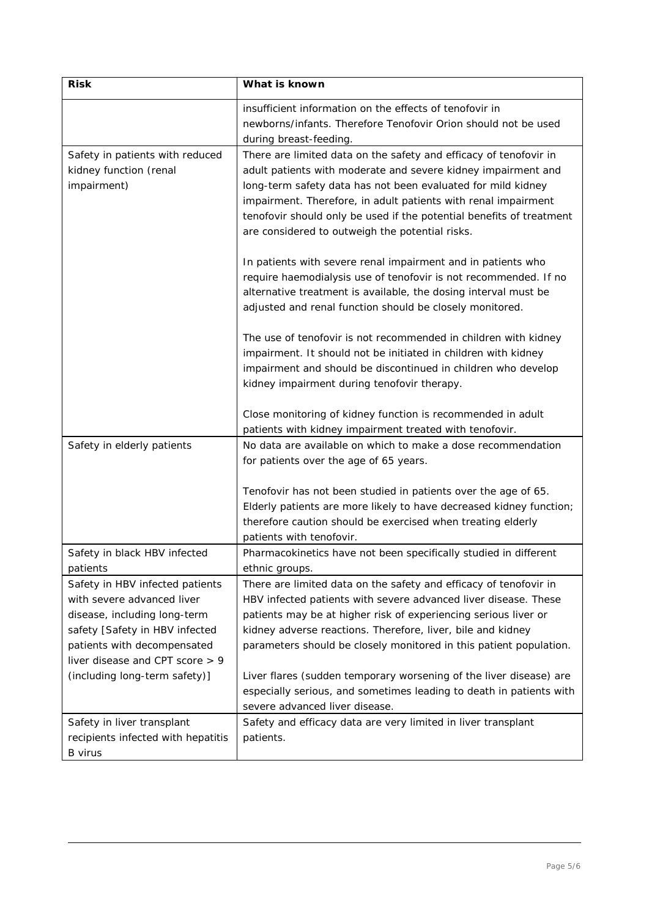| <b>Risk</b>                                                                                                                                                                                       | What is known                                                                                                                                                                                                                                                                                                                                                                                   |
|---------------------------------------------------------------------------------------------------------------------------------------------------------------------------------------------------|-------------------------------------------------------------------------------------------------------------------------------------------------------------------------------------------------------------------------------------------------------------------------------------------------------------------------------------------------------------------------------------------------|
|                                                                                                                                                                                                   | insufficient information on the effects of tenofovir in<br>newborns/infants. Therefore Tenofovir Orion should not be used<br>during breast-feeding.                                                                                                                                                                                                                                             |
| Safety in patients with reduced<br>kidney function (renal<br>impairment)                                                                                                                          | There are limited data on the safety and efficacy of tenofovir in<br>adult patients with moderate and severe kidney impairment and<br>long-term safety data has not been evaluated for mild kidney<br>impairment. Therefore, in adult patients with renal impairment<br>tenofovir should only be used if the potential benefits of treatment<br>are considered to outweigh the potential risks. |
|                                                                                                                                                                                                   | In patients with severe renal impairment and in patients who<br>require haemodialysis use of tenofovir is not recommended. If no<br>alternative treatment is available, the dosing interval must be<br>adjusted and renal function should be closely monitored.                                                                                                                                 |
|                                                                                                                                                                                                   | The use of tenofovir is not recommended in children with kidney<br>impairment. It should not be initiated in children with kidney<br>impairment and should be discontinued in children who develop<br>kidney impairment during tenofovir therapy.                                                                                                                                               |
|                                                                                                                                                                                                   | Close monitoring of kidney function is recommended in adult<br>patients with kidney impairment treated with tenofovir.                                                                                                                                                                                                                                                                          |
| Safety in elderly patients                                                                                                                                                                        | No data are available on which to make a dose recommendation<br>for patients over the age of 65 years.                                                                                                                                                                                                                                                                                          |
|                                                                                                                                                                                                   | Tenofovir has not been studied in patients over the age of 65.<br>Elderly patients are more likely to have decreased kidney function;<br>therefore caution should be exercised when treating elderly<br>patients with tenofovir.                                                                                                                                                                |
| Safety in black HBV infected<br>patients                                                                                                                                                          | Pharmacokinetics have not been specifically studied in different<br>ethnic groups.                                                                                                                                                                                                                                                                                                              |
| Safety in HBV infected patients<br>with severe advanced liver<br>disease, including long-term<br>safety [Safety in HBV infected<br>patients with decompensated<br>liver disease and CPT score > 9 | There are limited data on the safety and efficacy of tenofovir in<br>HBV infected patients with severe advanced liver disease. These<br>patients may be at higher risk of experiencing serious liver or<br>kidney adverse reactions. Therefore, liver, bile and kidney<br>parameters should be closely monitored in this patient population.                                                    |
| (including long-term safety)]                                                                                                                                                                     | Liver flares (sudden temporary worsening of the liver disease) are<br>especially serious, and sometimes leading to death in patients with<br>severe advanced liver disease.                                                                                                                                                                                                                     |
| Safety in liver transplant<br>recipients infected with hepatitis<br><b>B</b> virus                                                                                                                | Safety and efficacy data are very limited in liver transplant<br>patients.                                                                                                                                                                                                                                                                                                                      |